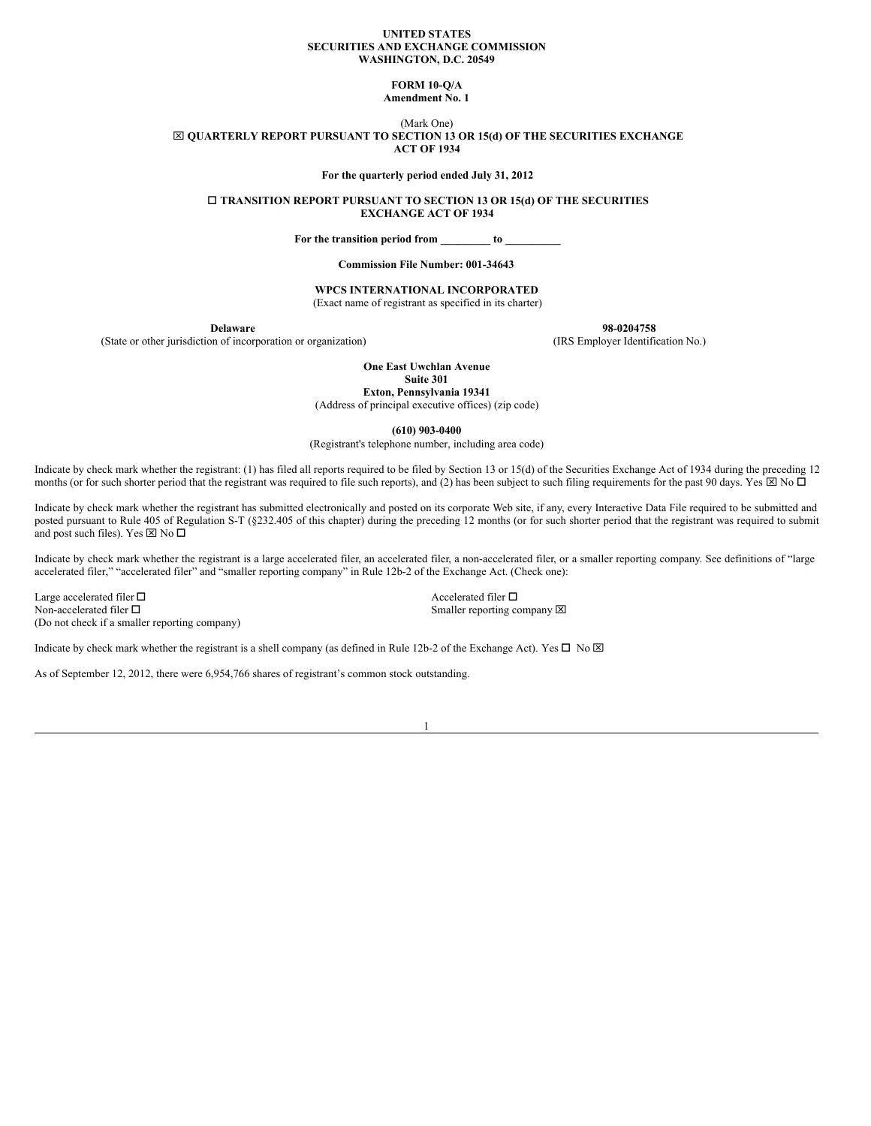#### **UNITED STATES SECURITIES AND EXCHANGE COMMISSION WASHINGTON, D.C. 20549**

#### **FORM 10-Q/A**

**Amendment No. 1**

(Mark One)

x **QUARTERLY REPORT PURSUANT TO SECTION 13 OR 15(d) OF THE SECURITIES EXCHANGE ACT OF 1934**

**For the quarterly period ended July 31, 2012**

o **TRANSITION REPORT PURSUANT TO SECTION 13 OR 15(d) OF THE SECURITIES EXCHANGE ACT OF 1934**

**For the transition period from \_\_\_\_\_\_\_\_\_ to \_\_\_\_\_\_\_\_\_\_**

**Commission File Number: 001-34643**

## **WPCS INTERNATIONAL INCORPORATED**

(Exact name of registrant as specified in its charter)

(State or other jurisdiction of incorporation or organization) (IRS Employer Identification No.)

**Delaware 98-0204758**

**One East Uwchlan Avenue**

**Suite 301**

**Exton, Pennsylvania 19341** (Address of principal executive offices) (zip code)

**(610) 903-0400**

(Registrant's telephone number, including area code)

Indicate by check mark whether the registrant: (1) has filed all reports required to be filed by Section 13 or 15(d) of the Securities Exchange Act of 1934 during the preceding 12 months (or for such shorter period that the registrant was required to file such reports), and (2) has been subject to such filing requirements for the past 90 days. Yes  $\boxtimes$  No  $\Box$ 

Indicate by check mark whether the registrant has submitted electronically and posted on its corporate Web site, if any, every Interactive Data File required to be submitted and posted pursuant to Rule 405 of Regulation S-T (§232.405 of this chapter) during the preceding 12 months (or for such shorter period that the registrant was required to submit and post such files). Yes  $\boxtimes$  No  $\Box$ 

Indicate by check mark whether the registrant is a large accelerated filer, an accelerated filer, a non-accelerated filer, or a smaller reporting company. See definitions of "large accelerated filer," "accelerated filer" and "smaller reporting company" in Rule 12b-2 of the Exchange Act. (Check one):

Large accelerated filer  $\square$ Non-accelerated filer  $\Box$  Smaller reporting company  $\boxtimes$ (Do not check if a smaller reporting company)

Indicate by check mark whether the registrant is a shell company (as defined in Rule 12b-2 of the Exchange Act). Yes  $\Box$  No  $\boxtimes$ 

As of September 12, 2012, there were 6,954,766 shares of registrant's common stock outstanding.

1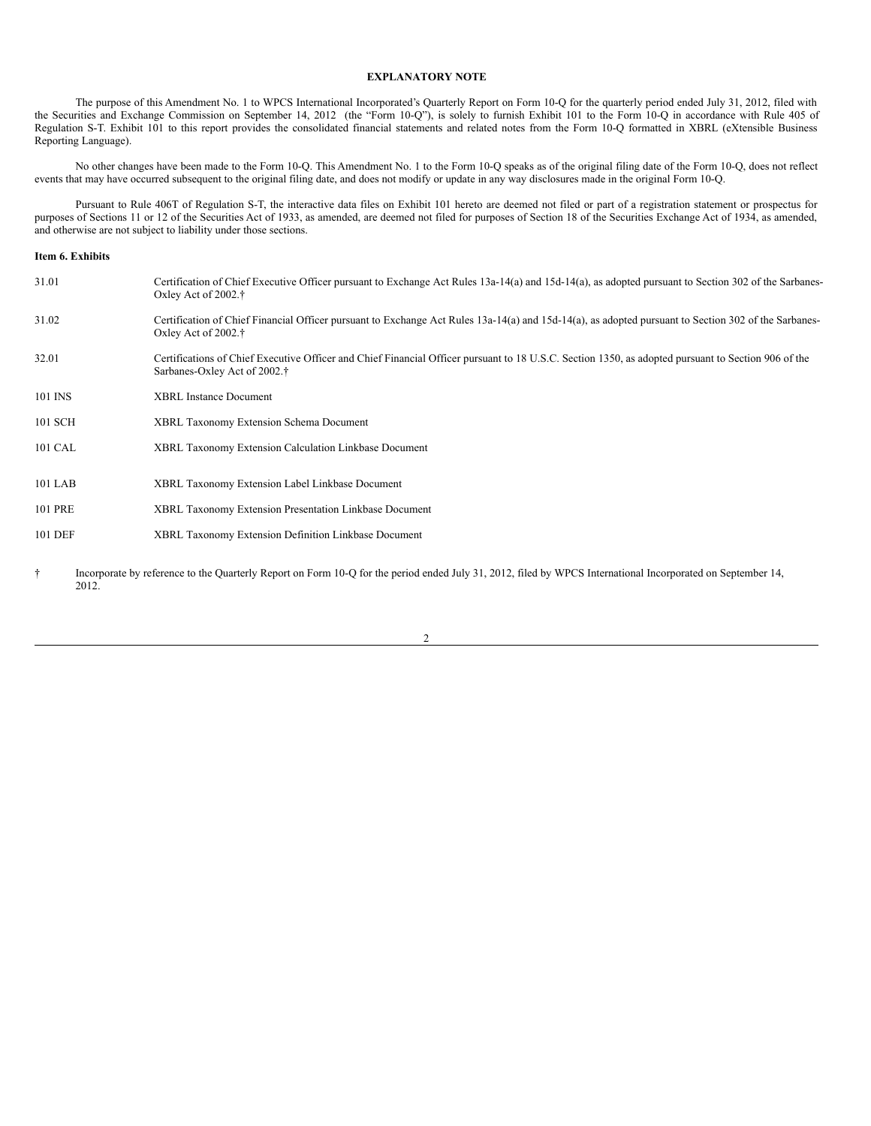# **EXPLANATORY NOTE**

The purpose of this Amendment No. 1 to WPCS International Incorporated's Quarterly Report on Form 10-Q for the quarterly period ended July 31, 2012, filed with the Securities and Exchange Commission on September 14, 2012 (the "Form 10-Q"), is solely to furnish Exhibit 101 to the Form 10-Q in accordance with Rule 405 of Regulation S-T. Exhibit 101 to this report provides the consolidated financial statements and related notes from the Form 10-Q formatted in XBRL (eXtensible Business Reporting Language).

No other changes have been made to the Form 10-Q. This Amendment No. 1 to the Form 10-Q speaks as of the original filing date of the Form 10-Q, does not reflect events that may have occurred subsequent to the original filing date, and does not modify or update in any way disclosures made in the original Form 10-Q.

Pursuant to Rule 406T of Regulation S-T, the interactive data files on Exhibit 101 hereto are deemed not filed or part of a registration statement or prospectus for purposes of Sections 11 or 12 of the Securities Act of 1933, as amended, are deemed not filed for purposes of Section 18 of the Securities Exchange Act of 1934, as amended, and otherwise are not subject to liability under those sections.

## **Item 6. Exhibits**

| 31.01   | Certification of Chief Executive Officer pursuant to Exchange Act Rules 13a-14(a) and 15d-14(a), as adopted pursuant to Section 302 of the Sarbanes-<br>Oxley Act of $2002.$ <sup>†</sup>       |
|---------|-------------------------------------------------------------------------------------------------------------------------------------------------------------------------------------------------|
| 31.02   | Certification of Chief Financial Officer pursuant to Exchange Act Rules 13a-14(a) and 15d-14(a), as adopted pursuant to Section 302 of the Sarbanes-<br>Oxley Act of $2002.$ <sup>†</sup>       |
| 32.01   | Certifications of Chief Executive Officer and Chief Financial Officer pursuant to 18 U.S.C. Section 1350, as adopted pursuant to Section 906 of the<br>Sarbanes-Oxley Act of 2002. <sup>†</sup> |
| 101 INS | <b>XBRL Instance Document</b>                                                                                                                                                                   |
| 101 SCH | <b>XBRL Taxonomy Extension Schema Document</b>                                                                                                                                                  |
| 101 CAL | XBRL Taxonomy Extension Calculation Linkbase Document                                                                                                                                           |
| 101 LAB | XBRL Taxonomy Extension Label Linkbase Document                                                                                                                                                 |
| 101 PRE | XBRL Taxonomy Extension Presentation Linkbase Document                                                                                                                                          |
| 101 DEF | XBRL Taxonomy Extension Definition Linkbase Document                                                                                                                                            |
|         |                                                                                                                                                                                                 |

† Incorporate by reference to the Quarterly Report on Form 10-Q for the period ended July 31, 2012, filed by WPCS International Incorporated on September 14, 2012.